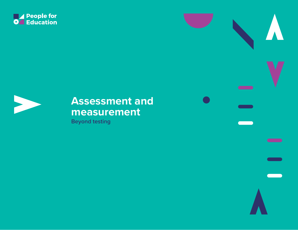





# **Assessment and measurement**

**Beyond testing**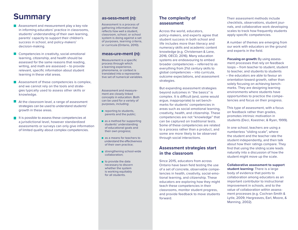# **Summary**

- Assessment and measurement play a key role **The State** in informing educators' practice in classrooms, students' understanding of their own learning, parents' capacity to support their children's success in school, and policy-makers' decision-making.
- Competencies in creativity, social-emotional learning, citizenship, and health should be assessed for the same reasons that reading, writing, and math are assessed – to provide relevant, specific information about student learning in these vital areas.
- Assessment of these competencies is complex, and we cannot rely on the tools and strategies typically used to assess other skills or knowledge.
- **College** At the classroom level, a range of assessment strategies can be used to understand students' growth in these areas.
- It is possible to assess these competencies at a jurisdictional level, however standardized assessments or surveys can only give information of limited quality about complex competencies.

## **as•sess•ment (n):**

Assessment is a process of gathering information that reflects how well a student, classroom, school, or school system is doing against a set of purposes, learning criteria, or curricula (Ontario, 2010).

## **meas•ure•ment (n):**

Measurement is a specific process through which a learning experience, phenomena, or context is translated into a representative set of numerical variables.

Assessment and measurement are closely linked concepts in education. Both can be used for a variety of purposes, including:

- $\blacksquare$  reporting to students, parents and the public;
- as a method for supporting students' understanding of educational goals and their own progress;
- as a means for teachers to understand the effectiveness of their own practice;
- strengthening school-wide collaboration;
- $\blacksquare$  to provide the data necessary to discern whether the system is working equitably for all students.

# **The complexity of assessment**

Across the world, educators, policy-makers, and experts agree that student success in both school and life includes more than literacy and numeracy skills and academic content knowledge (e.g. Christensen & Lane, 2016; OECD, 2016). Many education systems are endeavouring to embed broader competencies – referred to as everything from 21st century skills to global competencies – into curricula, outcome expectations, and assessment strategies.

But expanding assessment strategies beyond outcomes in "the basics" is complex. It is difficult (and, some would argue, inappropriate) to set benchmarks for students' competencies in areas such as social-emotional learning, creativity, health, and citizenship. These competencies are not "knowledge" that can be captured on traditional tests. Some of these competencies are related to a process rather than a product, and some are more likely to be observed through social interactions.

# **Assessment strategies start in the classroom**

Since 2015, educators from across Ontario have been field testing the use of a set of concrete, observable competencies in health, creativity, social-emotional learning, and citizenship. These educators are exploring how they might teach these competencies in their classrooms, monitor student progress, and provide feedback to move students forward.

Their assessment methods include checklists, observations, student journals, and collaborative work developing scales to track how frequently students apply specific competencies.

A number of themes are emerging from our work with educators on the ground and experts in the field.

**Focusing on growth:** By using assessment processes that rely on feedback loops – from teacher to student, student to teacher, and students to students – the educators are able to favour an orientation toward growth, rather than solely focusing on achieving benchmarks. They are designing learning environments where students have opportunities to practice the competencies and focus on their progress.

This type of assessment, with a focus on feedback rather than grades, promotes intrinsic motivation in students (Deci, Koestner, & Ryan, 1999).

In one school, teachers are using a numberless "sliding scale", where the student and the teacher rate the student independently, and then talk about how their ratings compare. They find that using the sliding scale leads naturally into a discussion of how the student might move up the scale.

#### **Collaborative assessment to support**

**student learning:** There is a large body of evidence that points to collaboration among educators as an important contributor to instructional improvement in schools, and to the value of collaboration within assessment processes (e.g. Cochran-Smith & Lytle, 2009; Hargreaves, Earl, Moore, & Manning, 2002).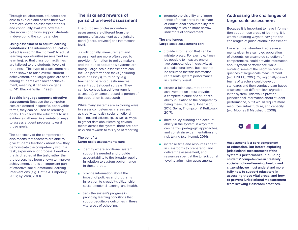Through collaboration, educators are able to explore and assess their own practices, develop assessment tools, and continually evaluate how their classroom conditions support students in developing the competencies.

#### **Using assessment to adjust learning**

**conditions:** The information educators collect is used "in the moment" to adjust learning opportunities (assessment *for* learning), so that classroom activities are tailored to the students' levels of readiness. This type of assessment has been shown to raise overall student achievement, and larger gains are seen among students with lower achievement, meaning it can reduce gaps (p. 141, Black & Wiliam, 1998).

#### **Specific language supports effective**

**assessment:** Because the competencies are defined in specific, observable terms, they can be used as learning goals. This allows the educators to use evidence gathered in a variety of ways to assess student progress toward those goals.

The specificity of the competencies also means that teachers are able to give students feedback about how they demonstrate the competency within a task, experience, or process. Feedback that is directed at the task, rather than the person, has been shown to improve achievement, and is an important part of effective social-emotional learning interventions (e.g. Hattie & Timperley, 2007; Kyllolen, 2013).

# **The risks and rewards of jurisdiction-level assessment**

The purposes of classroom-level assessment are different from the purpose of assessment at the jurisdictional (board, province) and international level.

Jurisdictionally, measurement and assessment are more often used to provide information to policy-makers and the public about how systems are doing. Large-scale assessments can include performance tasks (including tests or essays), third party (e.g. teacher or parent) questionnaires, or self-report student surveys. They can be census-based (everyone is assessed), or sample-based (a portion of the population is assessed).

While many systems are exploring ways to assess competencies in areas such as creativity, health, social-emotional learning, and citizenship, as well as ways to gather data about learning environments across the system, there are both risks and rewards to this type of reporting.

#### **The benefits Large-scale assessments can:**

- $\blacksquare$  identify where additional system support is needed and provide accountability to the broader public in relation to system performance in these areas.
- **provide information about the** impact of policies and programs in relation to creativity, citizenship, social-emotional learning, and health.
- track the system's progress in providing learning conditions that support equitable outcomes in these vital areas of schooling.

**promote the visibility and impor**tance of these areas in a climate of educational accountability that currently relies on more narrow indicators of achievement.

#### **The challenges Large-scale assessment can:**

- **provide information that can be** misinterpreted. For example, it may be possible to measure one or two competencies in creativity at a jurisdictional level, but it cannot be assumed that this information represents system performance in creativity overall.
- create a false assumption that achievement on a test provides a complete picture of a student's ability in relation to the competency being measured (e.g. Johansson, 2016; Sellar, Thompson, & Rutkowski 2017).
- drive policy, funding and accountability in the system in ways that can narrow pedagogic approaches, and constrain experimentation and risk-taking (e.g. Kempf, 2014).
- increase time and resources spent in classrooms to prepare for and deliver the assessment, and resources spent at the jurisdictional level to administer assessments.

# **Addressing the challenges of large-scale assessment**

Because it is important to have information about these areas of learning, it is worth exploring ways to navigate the challenges of jurisdictional assessment.

For example, standardized assessments given to a sampled population of students, on a sampled selection of competencies, could provide information about system performance, while avoiding some of the negative consequences of large-scale measurement (e.g. FINEEC, 2016). Or, regionally-based teams of teachers could develop standards and then conduct team-based assessment at different levels/grades in the system. This would provide jurisdictional information about student performance, but it would require more resources, infrastructure, and capacity (e.g. Mooney & Mausbach, 2008).

 $\bullet$   $\bullet$   $\bullet$ 

**Assessment is a core component of education. But before exploring jurisdictional measurement of the system's performance in building students' competencies in creativity, social-emotional learning, health, and citizenship, we must understand more fully how to support educators in assessing these vital areas, and how to prevent jurisdictional measurement from skewing classroom practices.**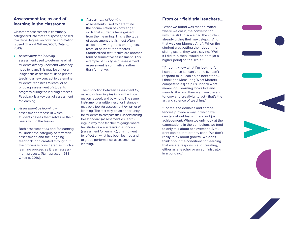# **Assessment for, as and of learning in the classroom**

Classroom assessment is commonly categorized into three "purposes," based, to a large degree, on how the information is used (Black & Wiliam, 2007; Ontario, 2010).

- *Assessment for learning* assessment used to determine what students already know and what they need to learn. This may be either a 'diagnostic assessment' used prior to teaching a new concept to determine students' readiness to learn, or an ongoing assessment of students' progress during the learning process. Feedback is a key part of assessment *for* learning.
- *Assessment as learning* assessment process in which students assess themselves or their peers within the lesson.

Both assessment *as* and *for* learning fall under the category of formative assessment, and the ongoing feedback loop created throughout the process is considered as much a learning process as it is an assessment process. (Ramaprasad, 1983; Ontario, 2010).

 *Assessment of learning* – assessments used to determine the accumulation of knowledge/ skills that students have gained from their learning. This is the type of assessment that is most often associated with grades on projects, tests, or student report cards. Standardized test results are another form of summative assessment. This example of this type of assessment. assessment is summative, rather than formative.

The distinction between assessment *for, as,* and *of* learning lies in how the information is used, and by whom. The same instrument - a written test, for instance may be a tool for assessment *for, as,* or *of* learning. The test may be an opportunity for students to compare their understanding to a standard (assessment *as* learning), a way for a teacher to gauge where her students are in learning a concept (assessment *for* learning), or a moment to reflect on what has been learned and to grade performance (assessment *of* learning).

# **From our field trial teachers...**

"What we found was that no matter where we did it, the conversation with the sliding scale had the student already giving their next steps… And that was our biggest 'Aha!'…When the student was putting their dot on the sliding scale, they were saying, 'Well, if I did this, then I would be here [at a higher point] on the scale."

"If I don't know what I'm looking for, I can't notice it. I can't name it. I can't respond to it. I can't plan next steps... I think [the Measuring What Matters competencies] help us unpack what meaningful learning looks like and sounds like, and then we have the autonomy and creativity to act - that's the art and science of teaching."

"For me, the domains and competencies provide a way in which we can talk about learning and not just achievement. When we only look at the expectations in the curriculum, we tend to only talk about achievement. A student can do that or they can't. We don't really think about growth. We don't think about the conditions for learning that we are responsible for creating, either as a teacher or an administrator in a building."